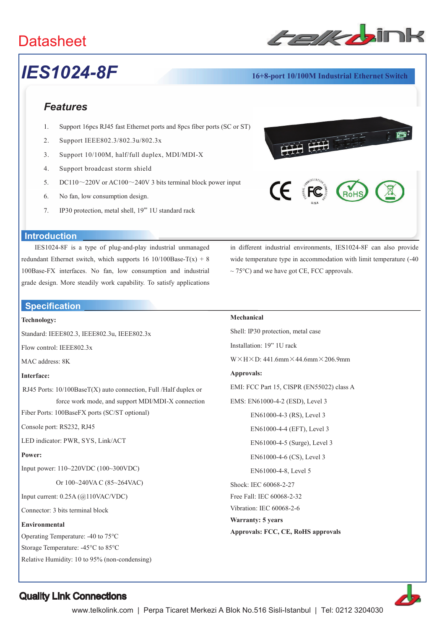## **Datasheet**



## *IES1024-8F* **16+8-port 10/100M Industrial Ethernet Switch**

#### *Features*

- 1. Support 16pcs RJ45 fast Ethernet ports and 8pcs fiber ports (SC or ST)
- 2. Support IEEE802.3/802.3u/802.3x
- 3. Support 10/100M, half/full duplex, MDI/MDI-X
- 4. Support broadcast storm shield
- 5. DC110 $\sim$ 220V or AC100 $\sim$ 240V 3 bits terminal block power input
- 6. No fan, low consumption design.
- 7. IP30 protection, metal shell, 19"' 1U standard rack



#### **Introduction**

IES1024-8F is a type of plug-and-play industrial unmanaged redundant Ethernet switch, which supports  $16 \frac{10}{100B}$ ase-T(x) + 8 100Base-FX interfaces. No fan, low consumption and industrial grade design. More steadily work capability. To satisfy applications

#### **Specification**

#### **Technology:**

Standard: IEEE802.3, IEEE802.3u, IEEE802.3x

Flow control: IEEE802.3x

MAC address: 8K

#### **Interface:**

RJ45 Ports: 10/100BaseT(X) auto connection, Full /Half duplex or force work mode, and support MDI/MDI-X connection

Fiber Ports: 100BaseFX ports (SC/ST optional)

Console port: RS232, RJ45

LED indicator: PWR, SYS, Link/ACT

#### **Power:**

Input power: 110~220VDC (100~300VDC)

Or 100~240VA C (85~264VAC)

Input current: 0.25A (@110VAC/VDC)

Connector: 3 bits terminal block

#### **Environmental**

Operating Temperature: -40 to 75°C

Storage Temperature: -45°C to 85°C

Relative Humidity: 10 to 95% (non-condensing)

in different industrial environments, IES1024-8F can also provide wide temperature type in accommodation with limit temperature (-40  $\sim$  75°C) and we have got CE, FCC approvals.

#### **Mechanical**

Shell: IP30 protection, metal case Installation: 19" 1U rack  $W \times H \times D$ : 441.6mm $\times$  44.6mm $\times$  206.9mm **Approvals:**  EMI: FCC Part 15, CISPR (EN55022) class A EMS: EN61000-4-2 (ESD), Level 3 EN61000-4-3 (RS), Level 3 EN61000-4-4 (EFT), Level 3 EN61000-4-5 (Surge), Level 3 EN61000-4-6 (CS), Level 3 EN61000-4-8, Level 5 Shock: IEC 60068-2-27 Free Fall: IEC 60068-2-32 Vibration: IEC 60068-2-6 **Warranty: 5 years Approvals: FCC, CE, RoHS approvals**